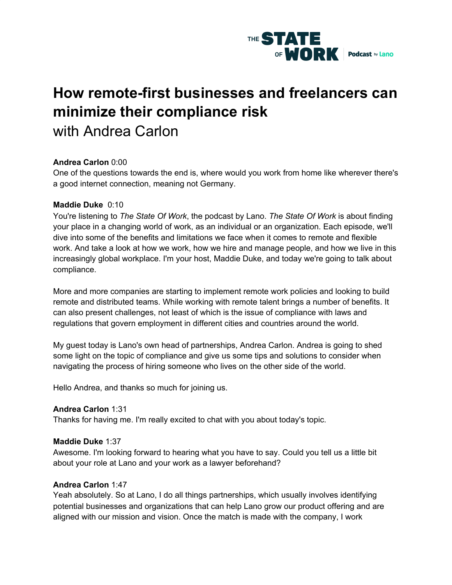

# **How remote-first businesses and freelancers can minimize their compliance risk** with Andrea Carlon

# **Andrea Carlon** 0:00

One of the questions towards the end is, where would you work from home like wherever there's a good internet connection, meaning not Germany.

# **Maddie Duke** 0:10

You're listening to *The State Of Work*, the podcast by Lano. *The State Of Work* is about finding your place in a changing world of work, as an individual or an organization. Each episode, we'll dive into some of the benefits and limitations we face when it comes to remote and flexible work. And take a look at how we work, how we hire and manage people, and how we live in this increasingly global workplace. I'm your host, Maddie Duke, and today we're going to talk about compliance.

More and more companies are starting to implement remote work policies and looking to build remote and distributed teams. While working with remote talent brings a number of benefits. It can also present challenges, not least of which is the issue of compliance with laws and regulations that govern employment in different cities and countries around the world.

My guest today is Lano's own head of partnerships, Andrea Carlon. Andrea is going to shed some light on the topic of compliance and give us some tips and solutions to consider when navigating the process of hiring someone who lives on the other side of the world.

Hello Andrea, and thanks so much for joining us.

# **Andrea Carlon** 1:31

Thanks for having me. I'm really excited to chat with you about today's topic.

# **Maddie Duke** 1:37

Awesome. I'm looking forward to hearing what you have to say. Could you tell us a little bit about your role at Lano and your work as a lawyer beforehand?

# **Andrea Carlon** 1:47

Yeah absolutely. So at Lano, I do all things partnerships, which usually involves identifying potential businesses and organizations that can help Lano grow our product offering and are aligned with our mission and vision. Once the match is made with the company, I work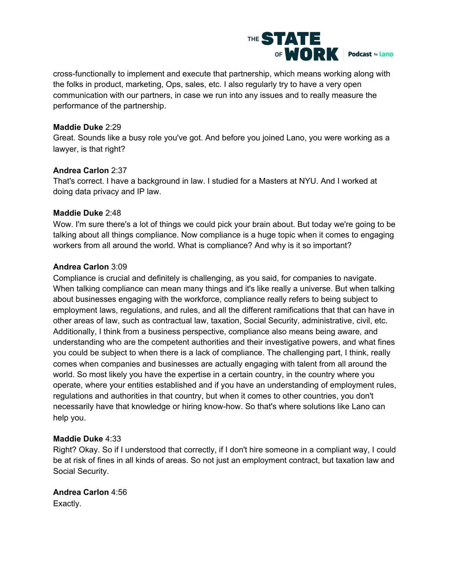

cross-functionally to implement and execute that partnership, which means working along with the folks in product, marketing, Ops, sales, etc. I also regularly try to have a very open communication with our partners, in case we run into any issues and to really measure the performance of the partnership.

#### **Maddie Duke** 2:29

Great. Sounds like a busy role you've got. And before you joined Lano, you were working as a lawyer, is that right?

#### **Andrea Carlon** 2:37

That's correct. I have a background in law. I studied for a Masters at NYU. And I worked at doing data privacy and IP law.

#### **Maddie Duke** 2:48

Wow. I'm sure there's a lot of things we could pick your brain about. But today we're going to be talking about all things compliance. Now compliance is a huge topic when it comes to engaging workers from all around the world. What is compliance? And why is it so important?

# **Andrea Carlon** 3:09

Compliance is crucial and definitely is challenging, as you said, for companies to navigate. When talking compliance can mean many things and it's like really a universe. But when talking about businesses engaging with the workforce, compliance really refers to being subject to employment laws, regulations, and rules, and all the different ramifications that that can have in other areas of law, such as contractual law, taxation, Social Security, administrative, civil, etc. Additionally, I think from a business perspective, compliance also means being aware, and understanding who are the competent authorities and their investigative powers, and what fines you could be subject to when there is a lack of compliance. The challenging part, I think, really comes when companies and businesses are actually engaging with talent from all around the world. So most likely you have the expertise in a certain country, in the country where you operate, where your entities established and if you have an understanding of employment rules, regulations and authorities in that country, but when it comes to other countries, you don't necessarily have that knowledge or hiring know-how. So that's where solutions like Lano can help you.

#### **Maddie Duke** 4:33

Right? Okay. So if I understood that correctly, if I don't hire someone in a compliant way, I could be at risk of fines in all kinds of areas. So not just an employment contract, but taxation law and Social Security.

**Andrea Carlon** 4:56 Exactly.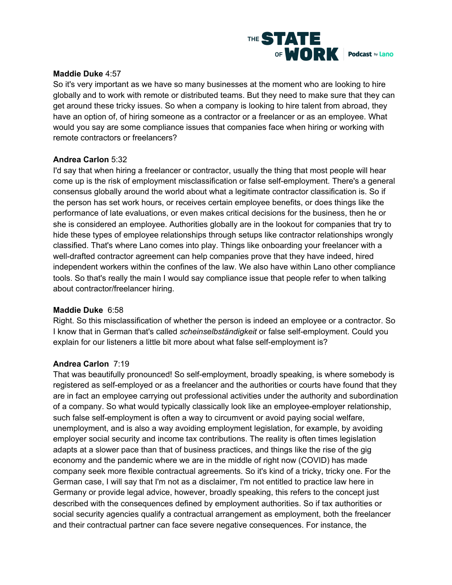

### **Maddie Duke** 4:57

So it's very important as we have so many businesses at the moment who are looking to hire globally and to work with remote or distributed teams. But they need to make sure that they can get around these tricky issues. So when a company is looking to hire talent from abroad, they have an option of, of hiring someone as a contractor or a freelancer or as an employee. What would you say are some compliance issues that companies face when hiring or working with remote contractors or freelancers?

#### **Andrea Carlon** 5:32

I'd say that when hiring a freelancer or contractor, usually the thing that most people will hear come up is the risk of employment misclassification or false self-employment. There's a general consensus globally around the world about what a legitimate contractor classification is. So if the person has set work hours, or receives certain employee benefits, or does things like the performance of late evaluations, or even makes critical decisions for the business, then he or she is considered an employee. Authorities globally are in the lookout for companies that try to hide these types of employee relationships through setups like contractor relationships wrongly classified. That's where Lano comes into play. Things like onboarding your freelancer with a well-drafted contractor agreement can help companies prove that they have indeed, hired independent workers within the confines of the law. We also have within Lano other compliance tools. So that's really the main I would say compliance issue that people refer to when talking about contractor/freelancer hiring.

#### **Maddie Duke** 6:58

Right. So this misclassification of whether the person is indeed an employee or a contractor. So I know that in German that's called *scheinselbständigkeit* or false self-employment. Could you explain for our listeners a little bit more about what false self-employment is?

#### **Andrea Carlon** 7:19

That was beautifully pronounced! So self-employment, broadly speaking, is where somebody is registered as self-employed or as a freelancer and the authorities or courts have found that they are in fact an employee carrying out professional activities under the authority and subordination of a company. So what would typically classically look like an employee-employer relationship, such false self-employment is often a way to circumvent or avoid paying social welfare, unemployment, and is also a way avoiding employment legislation, for example, by avoiding employer social security and income tax contributions. The reality is often times legislation adapts at a slower pace than that of business practices, and things like the rise of the gig economy and the pandemic where we are in the middle of right now (COVID) has made company seek more flexible contractual agreements. So it's kind of a tricky, tricky one. For the German case, I will say that I'm not as a disclaimer, I'm not entitled to practice law here in Germany or provide legal advice, however, broadly speaking, this refers to the concept just described with the consequences defined by employment authorities. So if tax authorities or social security agencies qualify a contractual arrangement as employment, both the freelancer and their contractual partner can face severe negative consequences. For instance, the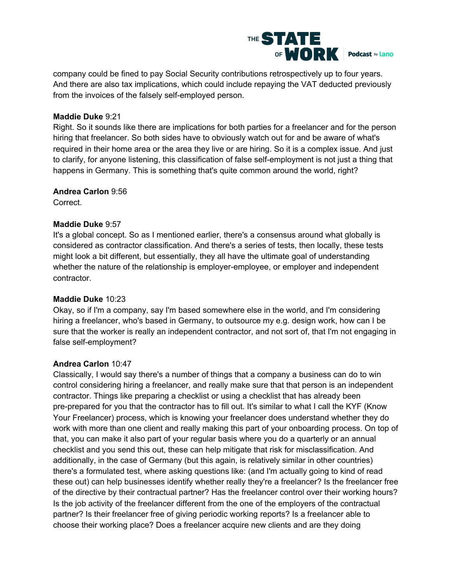

company could be fined to pay Social Security contributions retrospectively up to four years. And there are also tax implications, which could include repaying the VAT deducted previously from the invoices of the falsely self-employed person.

#### **Maddie Duke** 9:21

Right. So it sounds like there are implications for both parties for a freelancer and for the person hiring that freelancer. So both sides have to obviously watch out for and be aware of what's required in their home area or the area they live or are hiring. So it is a complex issue. And just to clarify, for anyone listening, this classification of false self-employment is not just a thing that happens in Germany. This is something that's quite common around the world, right?

#### **Andrea Carlon** 9:56

Correct.

# **Maddie Duke** 9:57

It's a global concept. So as I mentioned earlier, there's a consensus around what globally is considered as contractor classification. And there's a series of tests, then locally, these tests might look a bit different, but essentially, they all have the ultimate goal of understanding whether the nature of the relationship is employer-employee, or employer and independent contractor.

# **Maddie Duke** 10:23

Okay, so if I'm a company, say I'm based somewhere else in the world, and I'm considering hiring a freelancer, who's based in Germany, to outsource my e.g. design work, how can I be sure that the worker is really an independent contractor, and not sort of, that I'm not engaging in false self-employment?

# **Andrea Carlon** 10:47

Classically, I would say there's a number of things that a company a business can do to win control considering hiring a freelancer, and really make sure that that person is an independent contractor. Things like preparing a checklist or using a checklist that has already been pre-prepared for you that the contractor has to fill out. It's similar to what I call the KYF (Know Your Freelancer) process, which is knowing your freelancer does understand whether they do work with more than one client and really making this part of your onboarding process. On top of that, you can make it also part of your regular basis where you do a quarterly or an annual checklist and you send this out, these can help mitigate that risk for misclassification. And additionally, in the case of Germany (but this again, is relatively similar in other countries) there's a formulated test, where asking questions like: (and I'm actually going to kind of read these out) can help businesses identify whether really they're a freelancer? Is the freelancer free of the directive by their contractual partner? Has the freelancer control over their working hours? Is the job activity of the freelancer different from the one of the employers of the contractual partner? Is their freelancer free of giving periodic working reports? Is a freelancer able to choose their working place? Does a freelancer acquire new clients and are they doing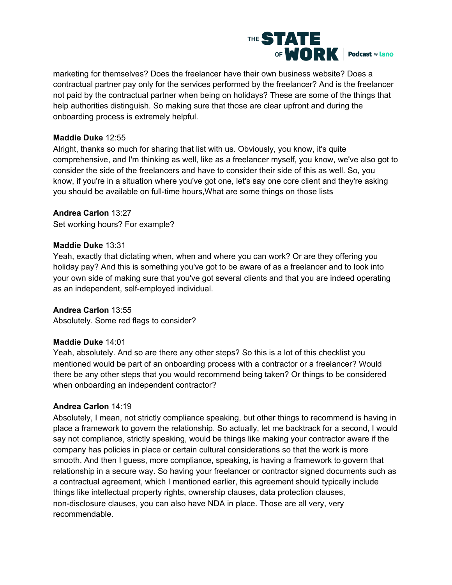

marketing for themselves? Does the freelancer have their own business website? Does a contractual partner pay only for the services performed by the freelancer? And is the freelancer not paid by the contractual partner when being on holidays? These are some of the things that help authorities distinguish. So making sure that those are clear upfront and during the onboarding process is extremely helpful.

# **Maddie Duke** 12:55

Alright, thanks so much for sharing that list with us. Obviously, you know, it's quite comprehensive, and I'm thinking as well, like as a freelancer myself, you know, we've also got to consider the side of the freelancers and have to consider their side of this as well. So, you know, if you're in a situation where you've got one, let's say one core client and they're asking you should be available on full-time hours,What are some things on those lists

#### **Andrea Carlon** 13:27

Set working hours? For example?

#### **Maddie Duke** 13:31

Yeah, exactly that dictating when, when and where you can work? Or are they offering you holiday pay? And this is something you've got to be aware of as a freelancer and to look into your own side of making sure that you've got several clients and that you are indeed operating as an independent, self-employed individual.

# **Andrea Carlon** 13:55

Absolutely. Some red flags to consider?

#### **Maddie Duke** 14:01

Yeah, absolutely. And so are there any other steps? So this is a lot of this checklist you mentioned would be part of an onboarding process with a contractor or a freelancer? Would there be any other steps that you would recommend being taken? Or things to be considered when onboarding an independent contractor?

#### **Andrea Carlon** 14:19

Absolutely, I mean, not strictly compliance speaking, but other things to recommend is having in place a framework to govern the relationship. So actually, let me backtrack for a second, I would say not compliance, strictly speaking, would be things like making your contractor aware if the company has policies in place or certain cultural considerations so that the work is more smooth. And then I guess, more compliance, speaking, is having a framework to govern that relationship in a secure way. So having your freelancer or contractor signed documents such as a contractual agreement, which I mentioned earlier, this agreement should typically include things like intellectual property rights, ownership clauses, data protection clauses, non-disclosure clauses, you can also have NDA in place. Those are all very, very recommendable.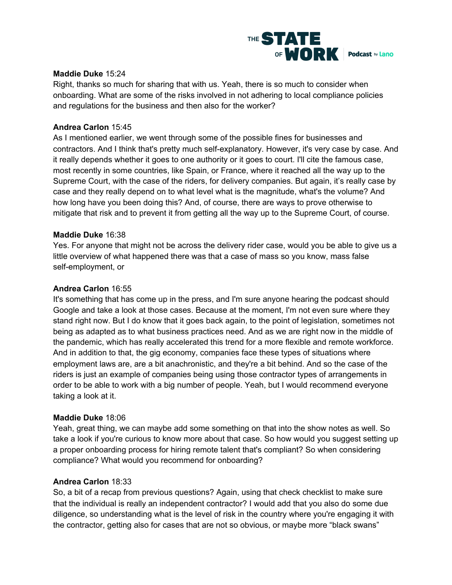

### **Maddie Duke** 15:24

Right, thanks so much for sharing that with us. Yeah, there is so much to consider when onboarding. What are some of the risks involved in not adhering to local compliance policies and regulations for the business and then also for the worker?

#### **Andrea Carlon** 15:45

As I mentioned earlier, we went through some of the possible fines for businesses and contractors. And I think that's pretty much self-explanatory. However, it's very case by case. And it really depends whether it goes to one authority or it goes to court. I'll cite the famous case, most recently in some countries, like Spain, or France, where it reached all the way up to the Supreme Court, with the case of the riders, for delivery companies. But again, it's really case by case and they really depend on to what level what is the magnitude, what's the volume? And how long have you been doing this? And, of course, there are ways to prove otherwise to mitigate that risk and to prevent it from getting all the way up to the Supreme Court, of course.

#### **Maddie Duke** 16:38

Yes. For anyone that might not be across the delivery rider case, would you be able to give us a little overview of what happened there was that a case of mass so you know, mass false self-employment, or

# **Andrea Carlon** 16:55

It's something that has come up in the press, and I'm sure anyone hearing the podcast should Google and take a look at those cases. Because at the moment, I'm not even sure where they stand right now. But I do know that it goes back again, to the point of legislation, sometimes not being as adapted as to what business practices need. And as we are right now in the middle of the pandemic, which has really accelerated this trend for a more flexible and remote workforce. And in addition to that, the gig economy, companies face these types of situations where employment laws are, are a bit anachronistic, and they're a bit behind. And so the case of the riders is just an example of companies being using those contractor types of arrangements in order to be able to work with a big number of people. Yeah, but I would recommend everyone taking a look at it.

#### **Maddie Duke** 18:06

Yeah, great thing, we can maybe add some something on that into the show notes as well. So take a look if you're curious to know more about that case. So how would you suggest setting up a proper onboarding process for hiring remote talent that's compliant? So when considering compliance? What would you recommend for onboarding?

#### **Andrea Carlon** 18:33

So, a bit of a recap from previous questions? Again, using that check checklist to make sure that the individual is really an independent contractor? I would add that you also do some due diligence, so understanding what is the level of risk in the country where you're engaging it with the contractor, getting also for cases that are not so obvious, or maybe more "black swans"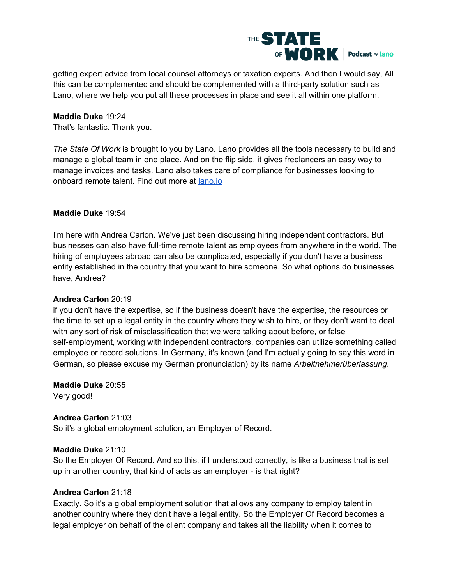

getting expert advice from local counsel attorneys or taxation experts. And then I would say, All this can be complemented and should be complemented with a third-party solution such as Lano, where we help you put all these processes in place and see it all within one platform.

#### **Maddie Duke** 19:24

That's fantastic. Thank you.

*The State Of Work* is brought to you by Lano. Lano provides all the tools necessary to build and manage a global team in one place. And on the flip side, it gives freelancers an easy way to manage invoices and tasks. Lano also takes care of compliance for businesses looking to onboard remote talent. Find out more at [lano.io](http://www.lano.io/)

#### **Maddie Duke** 19:54

I'm here with Andrea Carlon. We've just been discussing hiring independent contractors. But businesses can also have full-time remote talent as employees from anywhere in the world. The hiring of employees abroad can also be complicated, especially if you don't have a business entity established in the country that you want to hire someone. So what options do businesses have, Andrea?

# **Andrea Carlon** 20:19

if you don't have the expertise, so if the business doesn't have the expertise, the resources or the time to set up a legal entity in the country where they wish to hire, or they don't want to deal with any sort of risk of misclassification that we were talking about before, or false self-employment, working with independent contractors, companies can utilize something called employee or record solutions. In Germany, it's known (and I'm actually going to say this word in German, so please excuse my German pronunciation) by its name *Arbeitnehmerüberlassung*.

**Maddie Duke** 20:55 Very good!

#### **Andrea Carlon** 21:03

So it's a global employment solution, an Employer of Record.

# **Maddie Duke** 21:10

So the Employer Of Record. And so this, if I understood correctly, is like a business that is set up in another country, that kind of acts as an employer - is that right?

### **Andrea Carlon** 21:18

Exactly. So it's a global employment solution that allows any company to employ talent in another country where they don't have a legal entity. So the Employer Of Record becomes a legal employer on behalf of the client company and takes all the liability when it comes to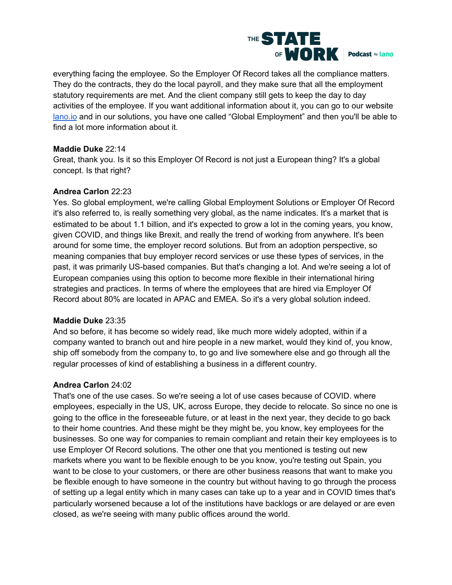

everything facing the employee. So the Employer Of Record takes all the compliance matters. They do the contracts, they do the local payroll, and they make sure that all the employment statutory requirements are met. And the client company still gets to keep the day to day activities of the employee. If you want additional information about it, you can go to our website [lano.io](https://lano.io/) and in our solutions, you have one called "Global Employment" and then you'll be able to find a lot more information about it.

# **Maddie Duke** 22:14

Great, thank you. Is it so this Employer Of Record is not just a European thing? It's a global concept. Is that right?

# **Andrea Carlon** 22:23

Yes. So global employment, we're calling Global Employment Solutions or Employer Of Record it's also referred to, is really something very global, as the name indicates. It's a market that is estimated to be about 1.1 billion, and it's expected to grow a lot in the coming years, you know, given COVID, and things like Brexit, and really the trend of working from anywhere. It's been around for some time, the employer record solutions. But from an adoption perspective, so meaning companies that buy employer record services or use these types of services, in the past, it was primarily US-based companies. But that's changing a lot. And we're seeing a lot of European companies using this option to become more flexible in their international hiring strategies and practices. In terms of where the employees that are hired via Employer Of Record about 80% are located in APAC and EMEA. So it's a very global solution indeed.

# **Maddie Duke** 23:35

And so before, it has become so widely read, like much more widely adopted, within if a company wanted to branch out and hire people in a new market, would they kind of, you know, ship off somebody from the company to, to go and live somewhere else and go through all the regular processes of kind of establishing a business in a different country.

# **Andrea Carlon** 24:02

That's one of the use cases. So we're seeing a lot of use cases because of COVID. where employees, especially in the US, UK, across Europe, they decide to relocate. So since no one is going to the office in the foreseeable future, or at least in the next year, they decide to go back to their home countries. And these might be they might be, you know, key employees for the businesses. So one way for companies to remain compliant and retain their key employees is to use Employer Of Record solutions. The other one that you mentioned is testing out new markets where you want to be flexible enough to be you know, you're testing out Spain, you want to be close to your customers, or there are other business reasons that want to make you be flexible enough to have someone in the country but without having to go through the process of setting up a legal entity which in many cases can take up to a year and in COVID times that's particularly worsened because a lot of the institutions have backlogs or are delayed or are even closed, as we're seeing with many public offices around the world.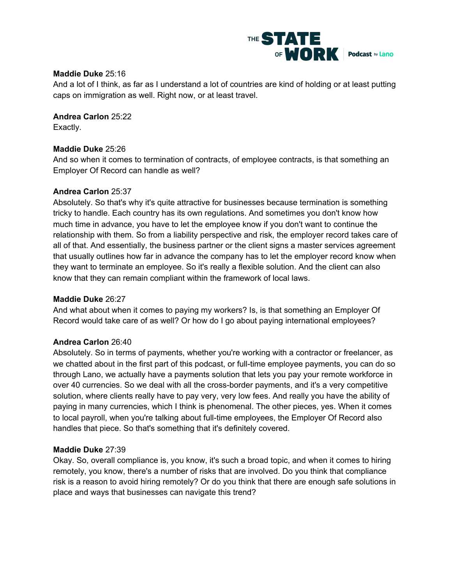

### **Maddie Duke** 25:16

And a lot of I think, as far as I understand a lot of countries are kind of holding or at least putting caps on immigration as well. Right now, or at least travel.

**Andrea Carlon** 25:22 Exactly.

#### **Maddie Duke** 25:26

And so when it comes to termination of contracts, of employee contracts, is that something an Employer Of Record can handle as well?

#### **Andrea Carlon** 25:37

Absolutely. So that's why it's quite attractive for businesses because termination is something tricky to handle. Each country has its own regulations. And sometimes you don't know how much time in advance, you have to let the employee know if you don't want to continue the relationship with them. So from a liability perspective and risk, the employer record takes care of all of that. And essentially, the business partner or the client signs a master services agreement that usually outlines how far in advance the company has to let the employer record know when they want to terminate an employee. So it's really a flexible solution. And the client can also know that they can remain compliant within the framework of local laws.

#### **Maddie Duke** 26:27

And what about when it comes to paying my workers? Is, is that something an Employer Of Record would take care of as well? Or how do I go about paying international employees?

#### **Andrea Carlon** 26:40

Absolutely. So in terms of payments, whether you're working with a contractor or freelancer, as we chatted about in the first part of this podcast, or full-time employee payments, you can do so through Lano, we actually have a payments solution that lets you pay your remote workforce in over 40 currencies. So we deal with all the cross-border payments, and it's a very competitive solution, where clients really have to pay very, very low fees. And really you have the ability of paying in many currencies, which I think is phenomenal. The other pieces, yes. When it comes to local payroll, when you're talking about full-time employees, the Employer Of Record also handles that piece. So that's something that it's definitely covered.

#### **Maddie Duke** 27:39

Okay. So, overall compliance is, you know, it's such a broad topic, and when it comes to hiring remotely, you know, there's a number of risks that are involved. Do you think that compliance risk is a reason to avoid hiring remotely? Or do you think that there are enough safe solutions in place and ways that businesses can navigate this trend?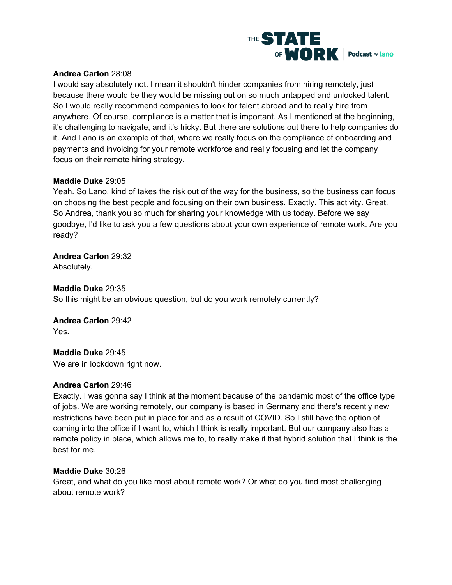

# **Andrea Carlon** 28:08

I would say absolutely not. I mean it shouldn't hinder companies from hiring remotely, just because there would be they would be missing out on so much untapped and unlocked talent. So I would really recommend companies to look for talent abroad and to really hire from anywhere. Of course, compliance is a matter that is important. As I mentioned at the beginning, it's challenging to navigate, and it's tricky. But there are solutions out there to help companies do it. And Lano is an example of that, where we really focus on the compliance of onboarding and payments and invoicing for your remote workforce and really focusing and let the company focus on their remote hiring strategy.

# **Maddie Duke** 29:05

Yeah. So Lano, kind of takes the risk out of the way for the business, so the business can focus on choosing the best people and focusing on their own business. Exactly. This activity. Great. So Andrea, thank you so much for sharing your knowledge with us today. Before we say goodbye, I'd like to ask you a few questions about your own experience of remote work. Are you ready?

**Andrea Carlon** 29:32 Absolutely.

# **Maddie Duke** 29:35

So this might be an obvious question, but do you work remotely currently?

**Andrea Carlon** 29:42 Yes.

**Maddie Duke** 29:45 We are in lockdown right now.

# **Andrea Carlon** 29:46

Exactly. I was gonna say I think at the moment because of the pandemic most of the office type of jobs. We are working remotely, our company is based in Germany and there's recently new restrictions have been put in place for and as a result of COVID. So I still have the option of coming into the office if I want to, which I think is really important. But our company also has a remote policy in place, which allows me to, to really make it that hybrid solution that I think is the best for me.

# **Maddie Duke** 30:26

Great, and what do you like most about remote work? Or what do you find most challenging about remote work?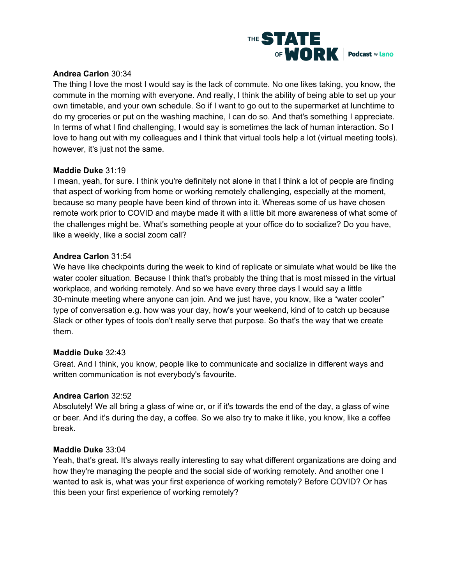

# **Andrea Carlon** 30:34

The thing I love the most I would say is the lack of commute. No one likes taking, you know, the commute in the morning with everyone. And really, I think the ability of being able to set up your own timetable, and your own schedule. So if I want to go out to the supermarket at lunchtime to do my groceries or put on the washing machine, I can do so. And that's something I appreciate. In terms of what I find challenging, I would say is sometimes the lack of human interaction. So I love to hang out with my colleagues and I think that virtual tools help a lot (virtual meeting tools). however, it's just not the same.

# **Maddie Duke** 31:19

I mean, yeah, for sure. I think you're definitely not alone in that I think a lot of people are finding that aspect of working from home or working remotely challenging, especially at the moment, because so many people have been kind of thrown into it. Whereas some of us have chosen remote work prior to COVID and maybe made it with a little bit more awareness of what some of the challenges might be. What's something people at your office do to socialize? Do you have, like a weekly, like a social zoom call?

# **Andrea Carlon** 31:54

We have like checkpoints during the week to kind of replicate or simulate what would be like the water cooler situation. Because I think that's probably the thing that is most missed in the virtual workplace, and working remotely. And so we have every three days I would say a little 30-minute meeting where anyone can join. And we just have, you know, like a "water cooler" type of conversation e.g. how was your day, how's your weekend, kind of to catch up because Slack or other types of tools don't really serve that purpose. So that's the way that we create them.

# **Maddie Duke** 32:43

Great. And I think, you know, people like to communicate and socialize in different ways and written communication is not everybody's favourite.

# **Andrea Carlon** 32:52

Absolutely! We all bring a glass of wine or, or if it's towards the end of the day, a glass of wine or beer. And it's during the day, a coffee. So we also try to make it like, you know, like a coffee break.

# **Maddie Duke** 33:04

Yeah, that's great. It's always really interesting to say what different organizations are doing and how they're managing the people and the social side of working remotely. And another one I wanted to ask is, what was your first experience of working remotely? Before COVID? Or has this been your first experience of working remotely?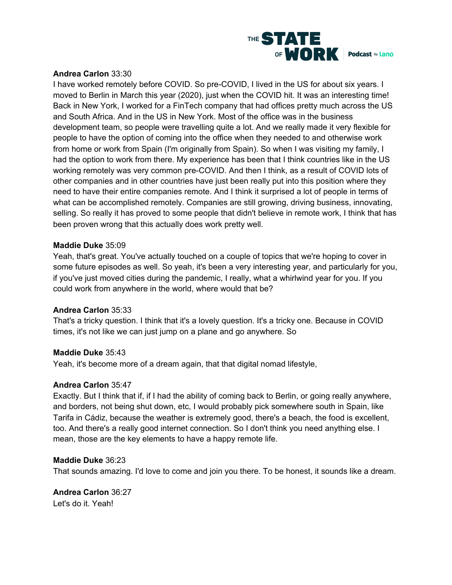

# **Andrea Carlon** 33:30

I have worked remotely before COVID. So pre-COVID, I lived in the US for about six years. I moved to Berlin in March this year (2020), just when the COVID hit. It was an interesting time! Back in New York, I worked for a FinTech company that had offices pretty much across the US and South Africa. And in the US in New York. Most of the office was in the business development team, so people were travelling quite a lot. And we really made it very flexible for people to have the option of coming into the office when they needed to and otherwise work from home or work from Spain (I'm originally from Spain). So when I was visiting my family, I had the option to work from there. My experience has been that I think countries like in the US working remotely was very common pre-COVID. And then I think, as a result of COVID lots of other companies and in other countries have just been really put into this position where they need to have their entire companies remote. And I think it surprised a lot of people in terms of what can be accomplished remotely. Companies are still growing, driving business, innovating, selling. So really it has proved to some people that didn't believe in remote work, I think that has been proven wrong that this actually does work pretty well.

#### **Maddie Duke** 35:09

Yeah, that's great. You've actually touched on a couple of topics that we're hoping to cover in some future episodes as well. So yeah, it's been a very interesting year, and particularly for you, if you've just moved cities during the pandemic, I really, what a whirlwind year for you. If you could work from anywhere in the world, where would that be?

#### **Andrea Carlon** 35:33

That's a tricky question. I think that it's a lovely question. It's a tricky one. Because in COVID times, it's not like we can just jump on a plane and go anywhere. So

# **Maddie Duke** 35:43

Yeah, it's become more of a dream again, that that digital nomad lifestyle,

#### **Andrea Carlon** 35:47

Exactly. But I think that if, if I had the ability of coming back to Berlin, or going really anywhere, and borders, not being shut down, etc, I would probably pick somewhere south in Spain, like Tarifa in Cádiz, because the weather is extremely good, there's a beach, the food is excellent, too. And there's a really good internet connection. So I don't think you need anything else. I mean, those are the key elements to have a happy remote life.

#### **Maddie Duke** 36:23

That sounds amazing. I'd love to come and join you there. To be honest, it sounds like a dream.

**Andrea Carlon** 36:27 Let's do it. Yeah!